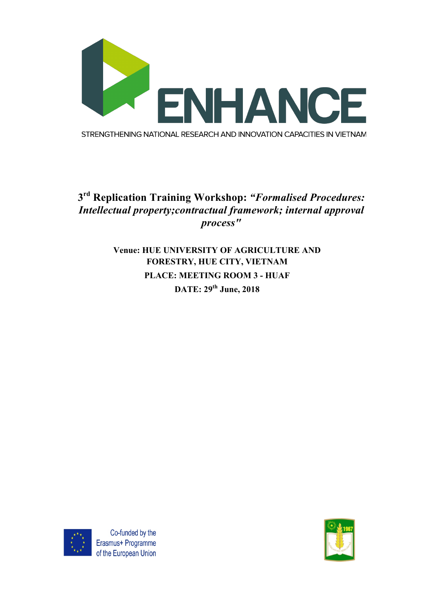

## **3rd Replication Training Workshop:** *"Formalised Procedures: Intellectual property;contractual framework; internal approval process"*

## **Venue: HUE UNIVERSITY OF AGRICULTURE AND FORESTRY, HUE CITY, VIETNAM PLACE: MEETING ROOM 3 - HUAF DATE: 29th June, 2018**



Co-funded by the Erasmus+ Programme of the European Union

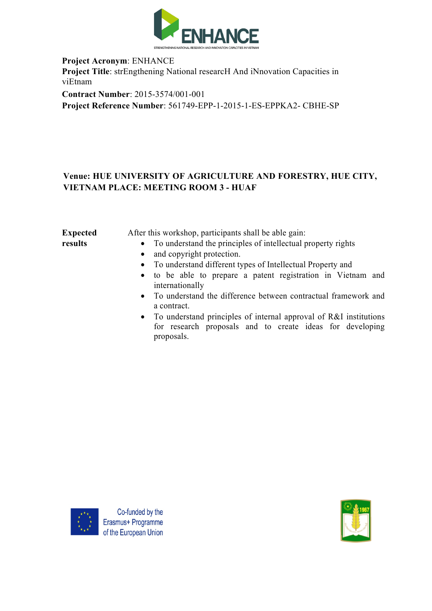

**Project Acronym**: ENHANCE **Project Title**: strEngthening National researcH And iNnovation Capacities in viEtnam **Contract Number**: 2015-3574/001-001

**Project Reference Number**: 561749-EPP-1-2015-1-ES-EPPKA2- CBHE-SP

## **Venue: HUE UNIVERSITY OF AGRICULTURE AND FORESTRY, HUE CITY, VIETNAM PLACE: MEETING ROOM 3 - HUAF**

| <b>Expected</b> | After this workshop, participants shall be able gain:                  |
|-----------------|------------------------------------------------------------------------|
| results         | • To understand the principles of intellectual property rights         |
|                 | and copyright protection.<br>$\bullet$                                 |
|                 | • To understand different types of Intellectual Property and           |
|                 | • to be able to prepare a patent registration in Vietnam and           |
|                 | internationally                                                        |
|                 | • To understand the difference between contractual framework and       |
|                 | a contract.                                                            |
|                 | • To understand principles of internal approval of $R\&I$ institutions |

• To understand principles of internal approval of R&I institutions for research proposals and to create ideas for developing proposals.